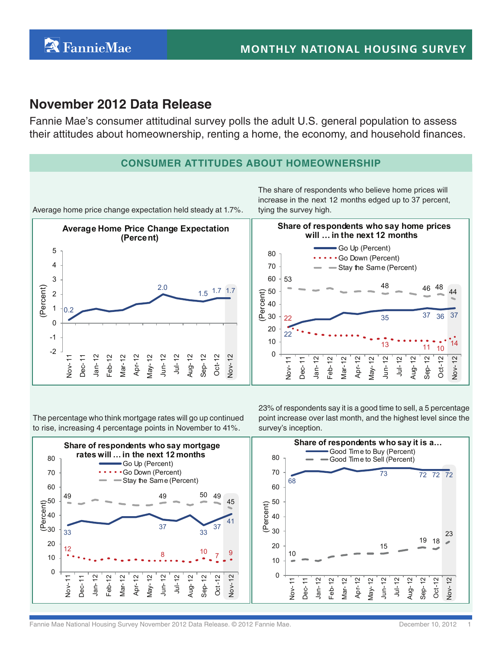# **November 2012 Data Release**

Fannie Mae's consumer attitudinal survey polls the adult U.S. general population to assess their attitudes about homeownership, renting a home, the economy, and household finances.

# **Consumer Attitudes About HomeOwnership**

Average home price change expectation held steady at 1.7%.

0.2 2.0  $1.5 \t 1.7 \t 1.7$ -2 -1 0 1 2 3 4 5 Nov- 11 Dec- 11 Jan- 12 Feb-12 Mar-12 Apr-12 May- 12 Jun- 12 Jul- 12 Aug- 12 Sep- 12 Oct-12 Nov- 12 (Percent) **Average Home Price Change Expectation (Percent)**

The share of respondents who believe home prices will increase in the next 12 months edged up to 37 percent, tying the survey high.



The percentage who think mortgage rates will go up continued to rise, increasing 4 percentage points in November to 41%.

23% of respondents say it is a good time to sell, a 5 percentage point increase over last month, and the highest level since the survey's inception.



Fannie Mae National Housing Survey November 2012 Data Release. © 2012 Fannie Mae.<br> **Fannie Mae National Housing Survey November 2012 Data Release.** © 2012 Fannie Mae.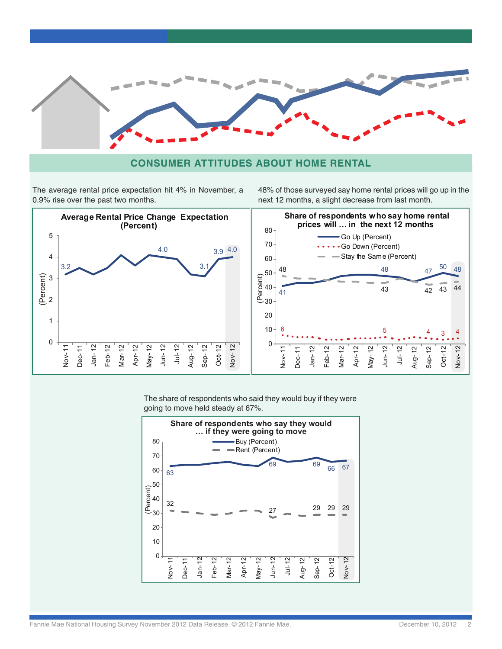

### **Consumer Attitudes About Home rental**

The average rental price expectation hit 4% in November, a 0.9% rise over the past two months.

48% of those surveyed say home rental prices will go up in the next 12 months, a slight decrease from last month.



The share of respondents who said they would buy if they were going to move held steady at 67%.

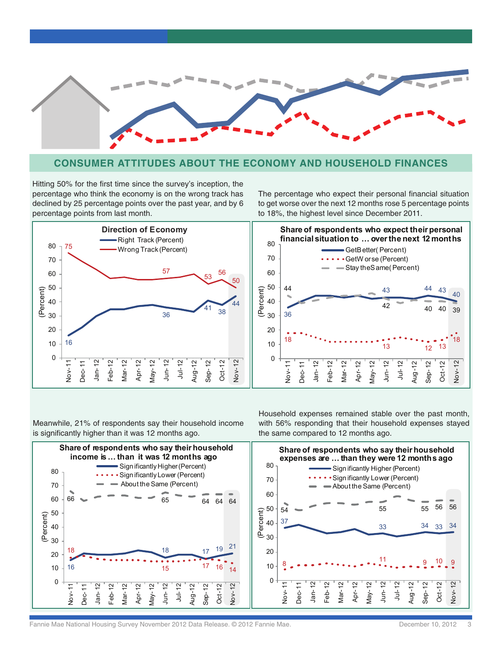

### **Consumer Attitudes About The economy and Household finances**

Hitting 50% for the first time since the survey's inception, the percentage who think the economy is on the wrong track has declined by 25 percentage points over the past year, and by 6 percentage points from last month.

The percentage who expect their personal financial situation to get worse over the next 12 months rose 5 percentage points to 18%, the highest level since December 2011.



Meanwhile, 21% of respondents say their household income is significantly higher than it was 12 months ago.

Household expenses remained stable over the past month, with 56% responding that their household expenses stayed the same compared to 12 months ago.

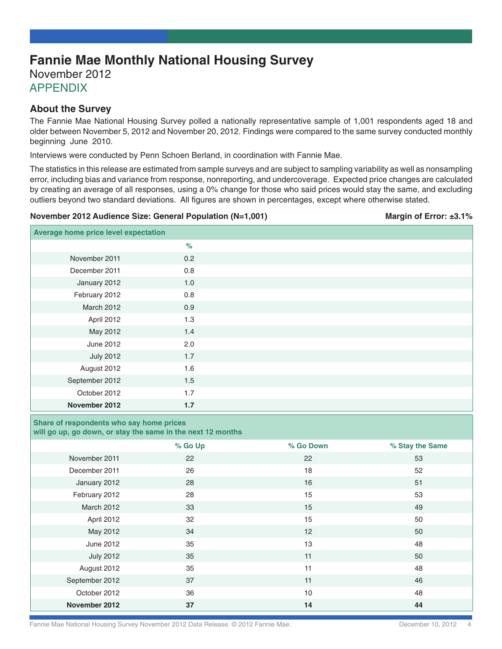# **Fannie Mae Monthly National Housing Survey**

November 2012

**APPENDIX** 

### **About the Survey**

The Fannie Mae National Housing Survey polled a nationally representative sample of 1,001 respondents aged 18 and older between November 5, 2012 and November 20, 2012. Findings were compared to the same survey conducted monthly beginning June 2010.

Interviews were conducted by Penn Schoen Berland, in coordination with Fannie Mae.

The statistics in this release are estimated from sample surveys and are subject to sampling variability as well as nonsampling error, including bias and variance from response, nonreporting, and undercoverage. Expected price changes are calculated by creating an average of all responses, using a 0% change for those who said prices would stay the same, and excluding outliers beyond two standard deviations. All figures are shown in percentages, except where otherwise stated.

#### **November 2012 Audience Size: General Population (N=1,001) Margin of Error: ±3.1%**

| Average home price level expectation |       |  |
|--------------------------------------|-------|--|
|                                      | $\%$  |  |
| November 2011                        | 0.2   |  |
| December 2011                        | 0.8   |  |
| January 2012                         | $1.0$ |  |
| February 2012                        | 0.8   |  |
| March 2012                           | 0.9   |  |
| April 2012                           | 1.3   |  |
| May 2012                             | 1.4   |  |
| June 2012                            | 2.0   |  |
| <b>July 2012</b>                     | 1.7   |  |
| August 2012                          | 1.6   |  |
| September 2012                       | 1.5   |  |
| October 2012                         | 1.7   |  |
| November 2012                        | 1.7   |  |

## **Share of respondents who say home prices**

**will go up, go down, or stay the same in the next 12 months**

|                  | % Go Up | % Go Down | % Stay the Same |
|------------------|---------|-----------|-----------------|
| November 2011    | 22      | 22        | 53              |
| December 2011    | 26      | 18        | 52              |
| January 2012     | 28      | 16        | 51              |
| February 2012    | 28      | 15        | 53              |
| March 2012       | 33      | 15        | 49              |
| April 2012       | 32      | 15        | 50              |
| May 2012         | 34      | 12        | 50              |
| June 2012        | 35      | 13        | 48              |
| <b>July 2012</b> | 35      | 11        | 50              |
| August 2012      | 35      | 11        | 48              |
| September 2012   | 37      | 11        | 46              |
| October 2012     | 36      | 10        | 48              |
| November 2012    | 37      | 14        | 44              |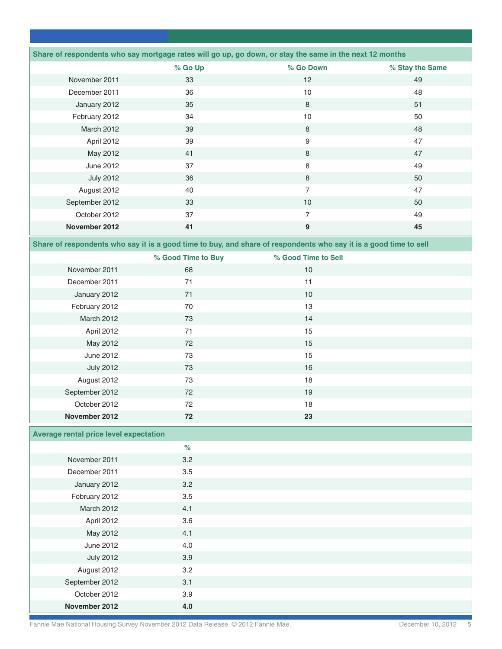| Share of respondents who say mortgage rates will go up, go down, or stay the same in the next 12 months<br>% Go Up<br>% Go Down<br>% Stay the Same<br>November 2011<br>33<br>12<br>49<br>December 2011<br>10<br>48<br>36<br>January 2012<br>35<br>8<br>51<br>34<br>10<br>50<br>February 2012<br><b>March 2012</b><br>39<br>8<br>48<br>April 2012<br>39<br>9<br>47<br>May 2012<br>41<br>8<br>47<br>June 2012<br>37<br>8<br>49<br><b>July 2012</b><br>36<br>8<br>50<br>$\overline{7}$<br>August 2012<br>40<br>47<br>September 2012<br>33<br>10<br>50<br>October 2012<br>37<br>$\overline{7}$<br>49<br>November 2012<br>$\boldsymbol{9}$<br>41<br>45<br>Share of respondents who say it is a good time to buy, and share of respondents who say it is a good time to sell<br>% Good Time to Buy<br>% Good Time to Sell<br>November 2011<br>68<br>$10$<br>December 2011<br>71<br>11<br>71<br>10<br>January 2012<br>February 2012<br>13<br>70<br><b>March 2012</b><br>14<br>73<br>15<br>April 2012<br>71<br>72<br>15<br>May 2012<br>June 2012<br>15<br>73<br><b>July 2012</b><br>73<br>16<br>August 2012<br>18<br>73<br>September 2012<br>72<br>19<br>October 2012<br>72<br>18<br>November 2012<br>72<br>23<br><b>Average rental price level expectation</b><br>$\%$<br>November 2011<br>3.2<br>3.5<br>December 2011<br>3.2<br>January 2012<br>February 2012<br>3.5<br>March 2012<br>4.1<br>3.6<br>April 2012<br>May 2012<br>4.1<br>June 2012<br>4.0<br><b>July 2012</b><br>3.9<br>August 2012<br>3.2<br>September 2012<br>3.1<br>October 2012<br>3.9 |               |     |  |
|--------------------------------------------------------------------------------------------------------------------------------------------------------------------------------------------------------------------------------------------------------------------------------------------------------------------------------------------------------------------------------------------------------------------------------------------------------------------------------------------------------------------------------------------------------------------------------------------------------------------------------------------------------------------------------------------------------------------------------------------------------------------------------------------------------------------------------------------------------------------------------------------------------------------------------------------------------------------------------------------------------------------------------------------------------------------------------------------------------------------------------------------------------------------------------------------------------------------------------------------------------------------------------------------------------------------------------------------------------------------------------------------------------------------------------------------------------------------------------------------------------------------------------------------------|---------------|-----|--|
|                                                                                                                                                                                                                                                                                                                                                                                                                                                                                                                                                                                                                                                                                                                                                                                                                                                                                                                                                                                                                                                                                                                                                                                                                                                                                                                                                                                                                                                                                                                                                  |               |     |  |
|                                                                                                                                                                                                                                                                                                                                                                                                                                                                                                                                                                                                                                                                                                                                                                                                                                                                                                                                                                                                                                                                                                                                                                                                                                                                                                                                                                                                                                                                                                                                                  |               |     |  |
|                                                                                                                                                                                                                                                                                                                                                                                                                                                                                                                                                                                                                                                                                                                                                                                                                                                                                                                                                                                                                                                                                                                                                                                                                                                                                                                                                                                                                                                                                                                                                  |               |     |  |
|                                                                                                                                                                                                                                                                                                                                                                                                                                                                                                                                                                                                                                                                                                                                                                                                                                                                                                                                                                                                                                                                                                                                                                                                                                                                                                                                                                                                                                                                                                                                                  |               |     |  |
|                                                                                                                                                                                                                                                                                                                                                                                                                                                                                                                                                                                                                                                                                                                                                                                                                                                                                                                                                                                                                                                                                                                                                                                                                                                                                                                                                                                                                                                                                                                                                  |               |     |  |
|                                                                                                                                                                                                                                                                                                                                                                                                                                                                                                                                                                                                                                                                                                                                                                                                                                                                                                                                                                                                                                                                                                                                                                                                                                                                                                                                                                                                                                                                                                                                                  |               |     |  |
|                                                                                                                                                                                                                                                                                                                                                                                                                                                                                                                                                                                                                                                                                                                                                                                                                                                                                                                                                                                                                                                                                                                                                                                                                                                                                                                                                                                                                                                                                                                                                  |               |     |  |
|                                                                                                                                                                                                                                                                                                                                                                                                                                                                                                                                                                                                                                                                                                                                                                                                                                                                                                                                                                                                                                                                                                                                                                                                                                                                                                                                                                                                                                                                                                                                                  |               |     |  |
|                                                                                                                                                                                                                                                                                                                                                                                                                                                                                                                                                                                                                                                                                                                                                                                                                                                                                                                                                                                                                                                                                                                                                                                                                                                                                                                                                                                                                                                                                                                                                  |               |     |  |
|                                                                                                                                                                                                                                                                                                                                                                                                                                                                                                                                                                                                                                                                                                                                                                                                                                                                                                                                                                                                                                                                                                                                                                                                                                                                                                                                                                                                                                                                                                                                                  |               |     |  |
|                                                                                                                                                                                                                                                                                                                                                                                                                                                                                                                                                                                                                                                                                                                                                                                                                                                                                                                                                                                                                                                                                                                                                                                                                                                                                                                                                                                                                                                                                                                                                  |               |     |  |
|                                                                                                                                                                                                                                                                                                                                                                                                                                                                                                                                                                                                                                                                                                                                                                                                                                                                                                                                                                                                                                                                                                                                                                                                                                                                                                                                                                                                                                                                                                                                                  |               |     |  |
|                                                                                                                                                                                                                                                                                                                                                                                                                                                                                                                                                                                                                                                                                                                                                                                                                                                                                                                                                                                                                                                                                                                                                                                                                                                                                                                                                                                                                                                                                                                                                  |               |     |  |
|                                                                                                                                                                                                                                                                                                                                                                                                                                                                                                                                                                                                                                                                                                                                                                                                                                                                                                                                                                                                                                                                                                                                                                                                                                                                                                                                                                                                                                                                                                                                                  |               |     |  |
|                                                                                                                                                                                                                                                                                                                                                                                                                                                                                                                                                                                                                                                                                                                                                                                                                                                                                                                                                                                                                                                                                                                                                                                                                                                                                                                                                                                                                                                                                                                                                  |               |     |  |
|                                                                                                                                                                                                                                                                                                                                                                                                                                                                                                                                                                                                                                                                                                                                                                                                                                                                                                                                                                                                                                                                                                                                                                                                                                                                                                                                                                                                                                                                                                                                                  |               |     |  |
|                                                                                                                                                                                                                                                                                                                                                                                                                                                                                                                                                                                                                                                                                                                                                                                                                                                                                                                                                                                                                                                                                                                                                                                                                                                                                                                                                                                                                                                                                                                                                  |               |     |  |
|                                                                                                                                                                                                                                                                                                                                                                                                                                                                                                                                                                                                                                                                                                                                                                                                                                                                                                                                                                                                                                                                                                                                                                                                                                                                                                                                                                                                                                                                                                                                                  |               |     |  |
|                                                                                                                                                                                                                                                                                                                                                                                                                                                                                                                                                                                                                                                                                                                                                                                                                                                                                                                                                                                                                                                                                                                                                                                                                                                                                                                                                                                                                                                                                                                                                  |               |     |  |
|                                                                                                                                                                                                                                                                                                                                                                                                                                                                                                                                                                                                                                                                                                                                                                                                                                                                                                                                                                                                                                                                                                                                                                                                                                                                                                                                                                                                                                                                                                                                                  |               |     |  |
|                                                                                                                                                                                                                                                                                                                                                                                                                                                                                                                                                                                                                                                                                                                                                                                                                                                                                                                                                                                                                                                                                                                                                                                                                                                                                                                                                                                                                                                                                                                                                  |               |     |  |
|                                                                                                                                                                                                                                                                                                                                                                                                                                                                                                                                                                                                                                                                                                                                                                                                                                                                                                                                                                                                                                                                                                                                                                                                                                                                                                                                                                                                                                                                                                                                                  |               |     |  |
|                                                                                                                                                                                                                                                                                                                                                                                                                                                                                                                                                                                                                                                                                                                                                                                                                                                                                                                                                                                                                                                                                                                                                                                                                                                                                                                                                                                                                                                                                                                                                  |               |     |  |
|                                                                                                                                                                                                                                                                                                                                                                                                                                                                                                                                                                                                                                                                                                                                                                                                                                                                                                                                                                                                                                                                                                                                                                                                                                                                                                                                                                                                                                                                                                                                                  |               |     |  |
|                                                                                                                                                                                                                                                                                                                                                                                                                                                                                                                                                                                                                                                                                                                                                                                                                                                                                                                                                                                                                                                                                                                                                                                                                                                                                                                                                                                                                                                                                                                                                  |               |     |  |
|                                                                                                                                                                                                                                                                                                                                                                                                                                                                                                                                                                                                                                                                                                                                                                                                                                                                                                                                                                                                                                                                                                                                                                                                                                                                                                                                                                                                                                                                                                                                                  |               |     |  |
|                                                                                                                                                                                                                                                                                                                                                                                                                                                                                                                                                                                                                                                                                                                                                                                                                                                                                                                                                                                                                                                                                                                                                                                                                                                                                                                                                                                                                                                                                                                                                  |               |     |  |
|                                                                                                                                                                                                                                                                                                                                                                                                                                                                                                                                                                                                                                                                                                                                                                                                                                                                                                                                                                                                                                                                                                                                                                                                                                                                                                                                                                                                                                                                                                                                                  |               |     |  |
|                                                                                                                                                                                                                                                                                                                                                                                                                                                                                                                                                                                                                                                                                                                                                                                                                                                                                                                                                                                                                                                                                                                                                                                                                                                                                                                                                                                                                                                                                                                                                  |               |     |  |
|                                                                                                                                                                                                                                                                                                                                                                                                                                                                                                                                                                                                                                                                                                                                                                                                                                                                                                                                                                                                                                                                                                                                                                                                                                                                                                                                                                                                                                                                                                                                                  |               |     |  |
|                                                                                                                                                                                                                                                                                                                                                                                                                                                                                                                                                                                                                                                                                                                                                                                                                                                                                                                                                                                                                                                                                                                                                                                                                                                                                                                                                                                                                                                                                                                                                  |               |     |  |
|                                                                                                                                                                                                                                                                                                                                                                                                                                                                                                                                                                                                                                                                                                                                                                                                                                                                                                                                                                                                                                                                                                                                                                                                                                                                                                                                                                                                                                                                                                                                                  |               |     |  |
|                                                                                                                                                                                                                                                                                                                                                                                                                                                                                                                                                                                                                                                                                                                                                                                                                                                                                                                                                                                                                                                                                                                                                                                                                                                                                                                                                                                                                                                                                                                                                  |               |     |  |
|                                                                                                                                                                                                                                                                                                                                                                                                                                                                                                                                                                                                                                                                                                                                                                                                                                                                                                                                                                                                                                                                                                                                                                                                                                                                                                                                                                                                                                                                                                                                                  |               |     |  |
|                                                                                                                                                                                                                                                                                                                                                                                                                                                                                                                                                                                                                                                                                                                                                                                                                                                                                                                                                                                                                                                                                                                                                                                                                                                                                                                                                                                                                                                                                                                                                  |               |     |  |
|                                                                                                                                                                                                                                                                                                                                                                                                                                                                                                                                                                                                                                                                                                                                                                                                                                                                                                                                                                                                                                                                                                                                                                                                                                                                                                                                                                                                                                                                                                                                                  |               |     |  |
|                                                                                                                                                                                                                                                                                                                                                                                                                                                                                                                                                                                                                                                                                                                                                                                                                                                                                                                                                                                                                                                                                                                                                                                                                                                                                                                                                                                                                                                                                                                                                  |               |     |  |
|                                                                                                                                                                                                                                                                                                                                                                                                                                                                                                                                                                                                                                                                                                                                                                                                                                                                                                                                                                                                                                                                                                                                                                                                                                                                                                                                                                                                                                                                                                                                                  |               |     |  |
|                                                                                                                                                                                                                                                                                                                                                                                                                                                                                                                                                                                                                                                                                                                                                                                                                                                                                                                                                                                                                                                                                                                                                                                                                                                                                                                                                                                                                                                                                                                                                  |               |     |  |
|                                                                                                                                                                                                                                                                                                                                                                                                                                                                                                                                                                                                                                                                                                                                                                                                                                                                                                                                                                                                                                                                                                                                                                                                                                                                                                                                                                                                                                                                                                                                                  |               |     |  |
|                                                                                                                                                                                                                                                                                                                                                                                                                                                                                                                                                                                                                                                                                                                                                                                                                                                                                                                                                                                                                                                                                                                                                                                                                                                                                                                                                                                                                                                                                                                                                  |               |     |  |
|                                                                                                                                                                                                                                                                                                                                                                                                                                                                                                                                                                                                                                                                                                                                                                                                                                                                                                                                                                                                                                                                                                                                                                                                                                                                                                                                                                                                                                                                                                                                                  |               |     |  |
|                                                                                                                                                                                                                                                                                                                                                                                                                                                                                                                                                                                                                                                                                                                                                                                                                                                                                                                                                                                                                                                                                                                                                                                                                                                                                                                                                                                                                                                                                                                                                  |               |     |  |
|                                                                                                                                                                                                                                                                                                                                                                                                                                                                                                                                                                                                                                                                                                                                                                                                                                                                                                                                                                                                                                                                                                                                                                                                                                                                                                                                                                                                                                                                                                                                                  |               |     |  |
|                                                                                                                                                                                                                                                                                                                                                                                                                                                                                                                                                                                                                                                                                                                                                                                                                                                                                                                                                                                                                                                                                                                                                                                                                                                                                                                                                                                                                                                                                                                                                  | November 2012 | 4.0 |  |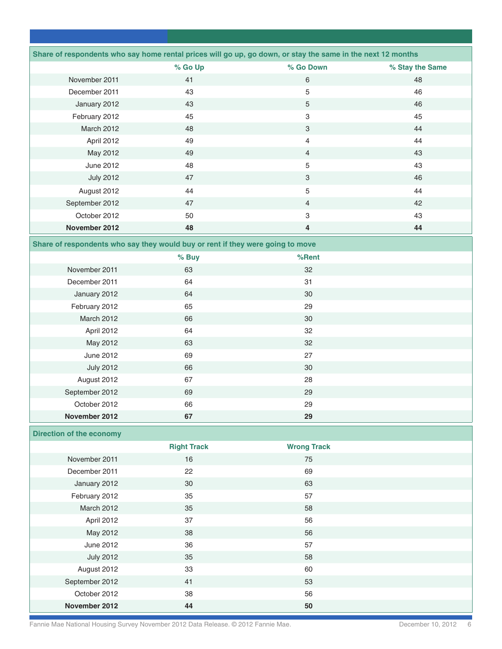|                                 |                                                                                | Share of respondents who say home rental prices will go up, go down, or stay the same in the next 12 months |                 |
|---------------------------------|--------------------------------------------------------------------------------|-------------------------------------------------------------------------------------------------------------|-----------------|
|                                 | % Go Up                                                                        | % Go Down                                                                                                   | % Stay the Same |
| November 2011                   | 41                                                                             | $\,6\,$                                                                                                     | 48              |
| December 2011                   | 43                                                                             | 5                                                                                                           | 46              |
| January 2012                    | 43                                                                             | 5                                                                                                           | 46              |
| February 2012                   | 45                                                                             | 3                                                                                                           | 45              |
| March 2012                      | 48                                                                             | $\ensuremath{\mathsf{3}}$                                                                                   | 44              |
| April 2012                      | 49                                                                             | 4                                                                                                           | 44              |
| May 2012                        | 49                                                                             | $\overline{4}$                                                                                              | 43              |
| <b>June 2012</b>                | 48                                                                             | 5                                                                                                           | 43              |
| <b>July 2012</b>                | 47                                                                             | $\ensuremath{\mathsf{3}}$                                                                                   | 46              |
| August 2012                     | 44                                                                             | 5                                                                                                           | 44              |
| September 2012                  | 47                                                                             | $\overline{4}$                                                                                              | 42              |
| October 2012                    | 50                                                                             | 3                                                                                                           | 43              |
| November 2012                   | 48                                                                             | 4                                                                                                           | 44              |
|                                 | Share of respondents who say they would buy or rent if they were going to move |                                                                                                             |                 |
|                                 | % Buy                                                                          | %Rent                                                                                                       |                 |
| November 2011                   | 63                                                                             | 32                                                                                                          |                 |
| December 2011                   | 64                                                                             | 31                                                                                                          |                 |
| January 2012                    | 64                                                                             | 30                                                                                                          |                 |
| February 2012                   | 65                                                                             | 29                                                                                                          |                 |
| March 2012                      | 66                                                                             | 30                                                                                                          |                 |
| April 2012                      | 64                                                                             | 32                                                                                                          |                 |
| May 2012                        | 63                                                                             | 32                                                                                                          |                 |
| <b>June 2012</b>                | 69                                                                             | 27                                                                                                          |                 |
| <b>July 2012</b>                | 66                                                                             | 30                                                                                                          |                 |
| August 2012                     | 67                                                                             | 28                                                                                                          |                 |
| September 2012                  | 69                                                                             | 29                                                                                                          |                 |
| October 2012                    | 66                                                                             | 29                                                                                                          |                 |
| November 2012                   | 67                                                                             | 29                                                                                                          |                 |
| <b>Direction of the economy</b> |                                                                                |                                                                                                             |                 |
|                                 | <b>Right Track</b>                                                             | <b>Wrong Track</b>                                                                                          |                 |
| November 2011                   | 16                                                                             | 75                                                                                                          |                 |
| December 2011                   | 22                                                                             | 69                                                                                                          |                 |
| January 2012                    | $30\,$                                                                         | 63                                                                                                          |                 |
| February 2012                   | 35                                                                             | 57                                                                                                          |                 |
| March 2012                      | 35                                                                             | 58                                                                                                          |                 |
| April 2012                      | 37                                                                             | 56                                                                                                          |                 |
| May 2012                        | 38                                                                             | 56                                                                                                          |                 |
| <b>June 2012</b>                | 36                                                                             | 57                                                                                                          |                 |
| <b>July 2012</b>                | 35                                                                             | 58                                                                                                          |                 |
| August 2012                     | 33                                                                             | 60                                                                                                          |                 |
| September 2012                  | 41                                                                             | 53                                                                                                          |                 |
| October 2012                    | 38                                                                             | 56                                                                                                          |                 |
| November 2012                   | 44                                                                             | 50                                                                                                          |                 |